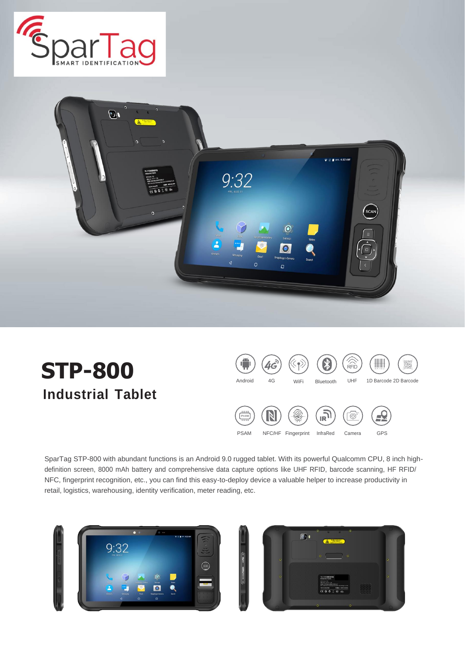



**STP-800 Industrial Tablet**



SparTag STP-800 with abundant functions is an Android 9.0 rugged tablet. With its powerful Qualcomm CPU, 8 inch highdefinition screen, 8000 mAh battery and comprehensive data capture options like UHF RFID, barcode scanning, HF RFID/ NFC, fingerprint recognition, etc., you can find this easy-to-deploy device a valuable helper to increase productivity in retail, logistics, warehousing, identity verification, meter reading, etc.

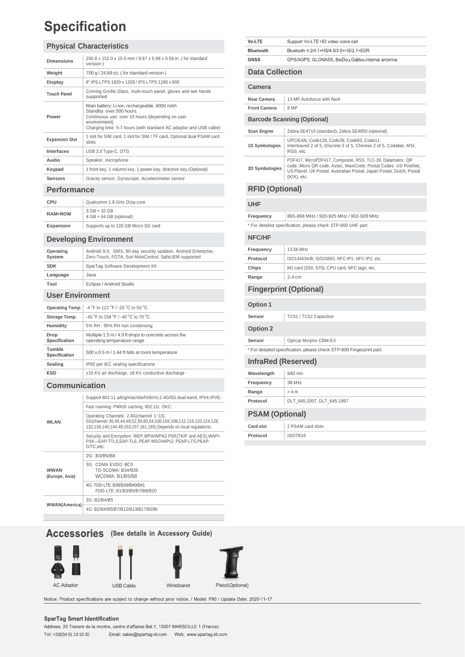## **Specification**

#### **Physical Characteristics**

| <b>Dimensions</b>     | 250.8 x 152.0 x 15.0 mm / 9.87 x 5.98 x 0.59 in. (for standard<br>version)                                                                                                                                       |  |
|-----------------------|------------------------------------------------------------------------------------------------------------------------------------------------------------------------------------------------------------------|--|
| Weight                | 700 g / 24.69 oz. (for standard version)                                                                                                                                                                         |  |
| Display               | 8" IPS LTPS 1920 x 1200 / IPS LTPS 1280 x 800                                                                                                                                                                    |  |
| <b>Touch Panel</b>    | Corning Gorilla Glass, multi-touch panel, gloves and wet hands<br>supported                                                                                                                                      |  |
| Power                 | Main battery: Li-ion, rechargeable, 8000 mAh<br>Standby: over 500 hours<br>Continuous use: over 10 hours (depending on user<br>environment)<br>Charging time: 5-7 hours (with standard AC adaptor and USB cable) |  |
| <b>Expansion Slot</b> | 1 slot for SIM card, 1 slot for SIM / TF card, Optional dual PSAM card<br>slots                                                                                                                                  |  |
| <b>Interfaces</b>     | USB 3.0 Type-C, OTG                                                                                                                                                                                              |  |
| Audio                 | Speaker, microphone                                                                                                                                                                                              |  |
| Keypad                | 1 front key, 1 volume key, 1 power key, direction key (Optional)                                                                                                                                                 |  |
| <b>Sensors</b>        | Gravity sensor, Gyroscope, Accelerometer sensor                                                                                                                                                                  |  |

#### **Performance**

| CPU       | Qualcomm 1.8 GHz Octa-core                |
|-----------|-------------------------------------------|
| RAM+ROM   | $3 GB + 32 GB$<br>4 GB + 64 GB (optional) |
| Expansion | Supports up to 128 GB Micro SD card       |

#### **Developing Environment**

| Operating<br>System     | Android 9.0; GMS, 90-day security updates, Android Enterprise,<br>Zero-Touch, FOTA, Soti MobiControl, SafeUEM supported |  |
|-------------------------|-------------------------------------------------------------------------------------------------------------------------|--|
| <b>SDK</b>              | SparTag Software Development Kit                                                                                        |  |
| Language                | Java                                                                                                                    |  |
| Tool                    | Eclipse / Android Studio                                                                                                |  |
| <b>User Environment</b> |                                                                                                                         |  |
|                         |                                                                                                                         |  |

| Operating Temp.         | -4 °F to 122 °F / -20 °C to 50 °C                                                   |  |
|-------------------------|-------------------------------------------------------------------------------------|--|
| Storage Temp.           | -40 °F to 158 °F / -40 °C to 70 °C                                                  |  |
| Humidity                | 5% RH - 95% RH non condensing                                                       |  |
| Drop<br>Specification   | Multiple 1.5 m / 4.9 ft drops to concrete across the<br>operating temperature range |  |
| Tumble<br>Specification | 500 x 0.5 m / 1.64 ft falls at room temperature                                     |  |
| Sealing                 | IP65 per IEC sealing specifications                                                 |  |
| <b>ESD</b>              | ±15 KV air discharge, ±8 KV conductive discharge                                    |  |
|                         |                                                                                     |  |

#### **Communication**

| <b>WLAN</b>                   | Support 802.11 a/b/g/n/ac/d/e/h/i/k/r/v,2.4G/5G dual-band, IPV4,IPV6;                                                                                                                |
|-------------------------------|--------------------------------------------------------------------------------------------------------------------------------------------------------------------------------------|
|                               | Fast roaming: PMKID caching, 802.11r, OKC;                                                                                                                                           |
|                               | Operating Channels: 2.4G(channel 1~13),<br>5G(channel 36,40,44,48,52,56,60,64,100,104,108,112,116,120,124,128,<br>132,136,140,144,49,153,157,161,165), Depends on local regulations; |
|                               | Security and Encryption: WEP, WPA/WPA2-PSK(TKIP and AES), WAPI-<br>PSK-EAP-TTLS.EAP-TLS. PEAP-MSCHAPv2. PEAP-LTS.PEAP-<br>GTC.etc.                                                   |
| <b>WWAN</b><br>(Europe, Asia) | 2G: B3/B5/B8                                                                                                                                                                         |
|                               | 3G: CDMA EVDO: BC0<br>TD-SCDMA: B34/B39<br>WCDMA: B1/B5/B8                                                                                                                           |
|                               | 4G: TDD-LTE: B38/B39/B40/B41<br>FDD-LTE: B1/B3/B5/B7/B8/B20                                                                                                                          |
| <b>WWAN(America)</b>          | 3G: B2/B4/B5                                                                                                                                                                         |
|                               | 4G: B2/B4/B5/B7/B12/B13/B17/B28b                                                                                                                                                     |

#### **Accessories** (See details in Accessory Guide)









Notice: Product specifications are subject to change without prior notice. / Model: P80 / Update Date: 2020-11-17

#### **SparTag Smart Identification**

| Vo-LTE                 | Support Vo-LTE HD video voice call                   |
|------------------------|------------------------------------------------------|
| Bluetooth              | Bluetooth 4.2/4.1+HS/4.0/3.0+HS/2.1+EDR              |
| <b>GNSS</b>            | GPS/AGPS, GLONASS, BeiDou, Galileo, internal antenna |
| <b>Data Collection</b> |                                                      |

| <b>Scan Engine</b> | Zebra SE4710 (standard), Zebra SE4850 (optional)                                                                                                                                                                         |
|--------------------|--------------------------------------------------------------------------------------------------------------------------------------------------------------------------------------------------------------------------|
| 1D Symbologies     | UPC/EAN, Code128, Code39, Code93, Code11,<br>Interleaved 2 of 5, Discrete 2 of 5, Chinese 2 of 5, Codabar, MSI,<br>RSS, etc.                                                                                             |
| 2D Symbologies     | PDF417, MicroPDF417, Composite, RSS, TLC-39, Datamatrix, QR<br>code, Micro QR code, Aztec, MaxiCode; Postal Codes: US PostNet,<br>US Planet, UK Postal, Australian Postal, Japan Postal, Dutch, Postal<br>$(KIX)$ , etc. |

**Barcode Scanning (Optional)**

**Rear Camera** | 13 MP Autofocus with flash

#### **RFID (Optional)**

#### **UHF**

**Camera**

**Front Camera** 8 MP

**Frequency** 865-868 MHz / 920-925 MHz / 902-928 MHz

\* For detailed specification, please check STP-800 UHF part.

#### **NFC/HF Frequency** 13.56 MHz **Protocol ISO14443A/B, ISO15693, NFC-IP1, NFC-IP2, etc.** Chips M1 card (S50, S70), CPU card, NFC tags, etc. **Range** 2-4 cm

#### **Fingerprint (Optional)**

#### **Option 1**

| Sensor | TCS1 / TCS2 Capacitive |
|--------|------------------------|
|        |                        |

#### **Option 2**

**Sensor Optical Morpho CBM-E3** 

\* For detailed specification, please check STP-800 Fingerprint part.

#### **InfraRed (Reserved)** Wavelength 940 nm **Frequency** 38 kHz **Range**  $> 4 m$ **Protocol** DLT\_645-2007, DLT\_645-1997

#### **PSAM (Optional)**

| 2 PSAM card slots<br><b>Card slot</b> |  |
|---------------------------------------|--|
| ISO7816<br>Protocol                   |  |